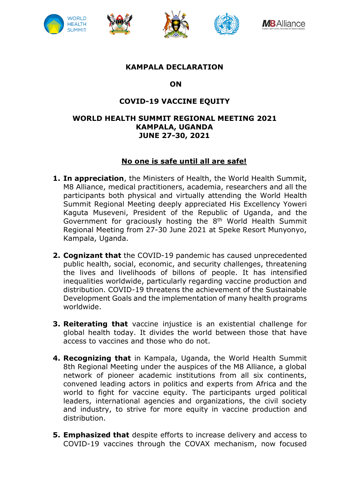









### **KAMPALA DECLARATION**

### **ON**

# **COVID-19 VACCINE EQUITY**

### **WORLD HEALTH SUMMIT REGIONAL MEETING 2021 KAMPALA, UGANDA JUNE 27-30, 2021**

## **No one is safe until all are safe!**

- **1. In appreciation**, the Ministers of Health, the World Health Summit, M8 Alliance, medical practitioners, academia, researchers and all the participants both physical and virtually attending the World Health Summit Regional Meeting deeply appreciated His Excellency Yoweri Kaguta Museveni, President of the Republic of Uganda, and the Government for graciously hosting the 8<sup>th</sup> World Health Summit Regional Meeting from 27-30 June 2021 at Speke Resort Munyonyo, Kampala, Uganda.
- **2. Cognizant that** the COVID-19 pandemic has caused unprecedented public health, social, economic, and security challenges, threatening the lives and livelihoods of billons of people. It has intensified inequalities worldwide, particularly regarding vaccine production and distribution. COVID-19 threatens the achievement of the Sustainable Development Goals and the implementation of many health programs worldwide.
- **3. Reiterating that** vaccine injustice is an existential challenge for global health today. It divides the world between those that have access to vaccines and those who do not.
- **4. Recognizing that** in Kampala, Uganda, the World Health Summit 8th Regional Meeting under the auspices of the M8 Alliance, a global network of pioneer academic institutions from all six continents, convened leading actors in politics and experts from Africa and the world to fight for vaccine equity. The participants urged political leaders, international agencies and organizations, the civil society and industry, to strive for more equity in vaccine production and distribution.
- **5. Emphasized that** despite efforts to increase delivery and access to COVID-19 vaccines through the COVAX mechanism, now focused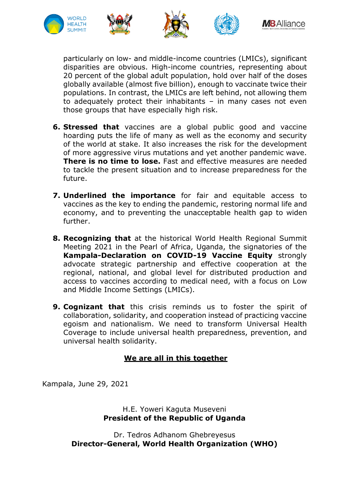

particularly on low- and middle-income countries (LMICs), significant disparities are obvious. High-income countries, representing about 20 percent of the global adult population, hold over half of the doses globally available (almost five billion), enough to vaccinate twice their populations. In contrast, the LMICs are left behind, not allowing them to adequately protect their inhabitants – in many cases not even those groups that have especially high risk.

- **6. Stressed that** vaccines are a global public good and vaccine hoarding puts the life of many as well as the economy and security of the world at stake. It also increases the risk for the development of more aggressive virus mutations and yet another pandemic wave. **There is no time to lose.** Fast and effective measures are needed to tackle the present situation and to increase preparedness for the future.
- **7. Underlined the importance** for fair and equitable access to vaccines as the key to ending the pandemic, restoring normal life and economy, and to preventing the unacceptable health gap to widen further.
- **8. Recognizing that** at the historical World Health Regional Summit Meeting 2021 in the Pearl of Africa, Uganda, the signatories of the **Kampala-Declaration on COVID-19 Vaccine Equity** strongly advocate strategic partnership and effective cooperation at the regional, national, and global level for distributed production and access to vaccines according to medical need, with a focus on Low and Middle Income Settings (LMICs).
- **9. Cognizant that** this crisis reminds us to foster the spirit of collaboration, solidarity, and cooperation instead of practicing vaccine egoism and nationalism. We need to transform Universal Health Coverage to include universal health preparedness, prevention, and universal health solidarity.

## **We are all in this together**

Kampala, June 29, 2021

## H.E. Yoweri Kaguta Museveni **President of the Republic of Uganda**

Dr. Tedros Adhanom Ghebreyesus **Director-General, World Health Organization (WHO)**